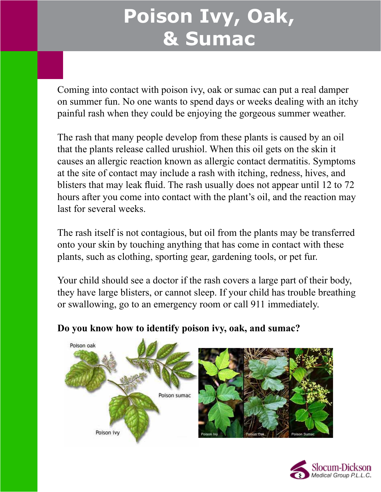# **Poison Ivy, Oak, & Sumac**

Coming into contact with poison ivy, oak or sumac can put a real damper on summer fun. No one wants to spend days or weeks dealing with an itchy painful rash when they could be enjoying the gorgeous summer weather.

The rash that many people develop from these plants is caused by an oil that the plants release called urushiol. When this oil gets on the skin it causes an allergic reaction known as allergic contact dermatitis. Symptoms at the site of contact may include a rash with itching, redness, hives, and blisters that may leak fluid. The rash usually does not appear until 12 to 72 hours after you come into contact with the plant's oil, and the reaction may last for several weeks.

The rash itself is not contagious, but oil from the plants may be transferred onto your skin by touching anything that has come in contact with these plants, such as clothing, sporting gear, gardening tools, or pet fur.

Your child should see a doctor if the rash covers a large part of their body, they have large blisters, or cannot sleep. If your child has trouble breathing or swallowing, go to an emergency room or call 911 immediately.



### **Do you know how to identify poison ivy, oak, and sumac?**